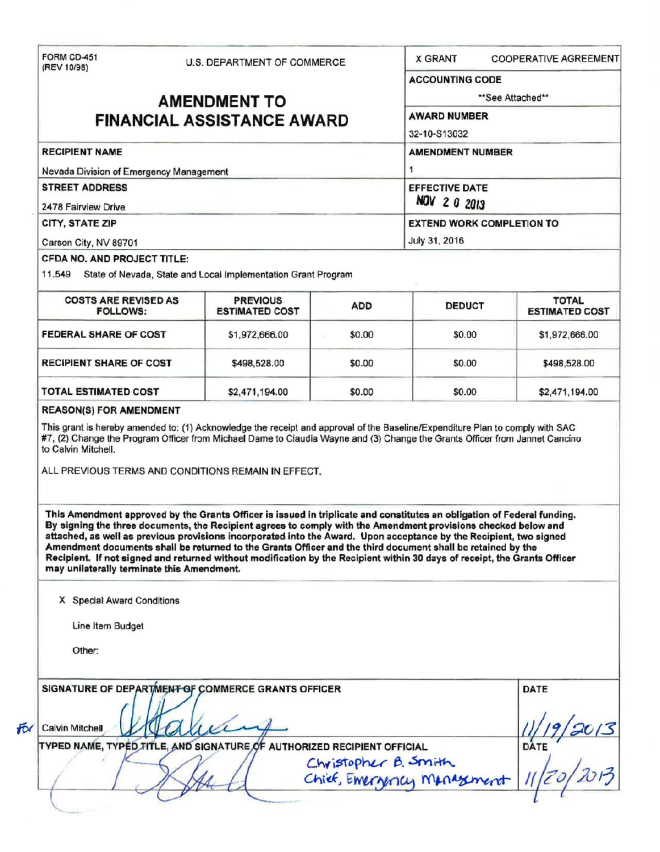| FORM CD-451<br>(REV 10/98)<br><b>RECIPIENT NAME</b><br>Nevada Division of Emergency Management<br><b>STREET ADDRESS</b><br>2478 Fairview Drive<br>CITY, STATE ZIP<br>Carson City, NV 89701<br>CFDA NO. AND PROJECT TITLE:<br>11.549 State of Nevada, State and Local Implementation Grant Program<br><b>COSTS ARE REVISED AS</b><br><b>FOLLOWS:</b><br><b>FEDERAL SHARE OF COST</b><br><b>RECIPIENT SHARE OF COST</b><br><b>TOTAL ESTIMATED COST</b><br><b>REASON(S) FOR AMENDMENT</b><br>This grant is hereby amended to: (1) Acknowledge the receipt and approval of the Baseline/Expenditure Plan to comply with SAC<br>#7, (2) Change the Program Officer from Michael Dame to Claudia Wayne and (3) Change the Grants Officer from Jannet Cancino<br>to Calvin Mitchell.<br>ALL PREVIOUS TERMS AND CONDITIONS REMAIN IN EFFECT.<br>This Amendment approved by the Grants Officer is issued in triplicate and constitutes an obligation of Federal funding.<br>By signing the three documents, the Recipient agrees to comply with the Amendment provisions checked below and<br>attached, as well as previous provisions incorporated into the Award. Upon acceptance by the Recipient, two signed<br>Amendment documents shall be returned to the Grants Officer and the third document shall be retained by the<br>Recipient. If not signed and returned without modification by the Recipient within 30 days of receipt, the Grants Officer<br>may unilaterally terminate this Amendment.<br>X Special Award Conditions<br>Line Item Budget<br>Other:<br>SIGNATURE OF DEPARTMENT OF COMMERCE GRANTS OFFICER | U.S. DEPARTMENT OF COMMERCE<br><b>AMENDMENT TO</b><br><b>FINANCIAL ASSISTANCE AWARD</b><br><b>PREVIOUS</b><br><b>ESTIMATED COST</b><br>\$1,972,666.00<br>\$498,528.00 | <b>ADD</b><br>\$0.00<br>\$0.00 | <b>X GRANT</b><br><b>ACCOUNTING CODE</b><br><b>AWARD NUMBER</b><br>32-10-S13032<br><b>AMENDMENT NUMBER</b><br><b>EFFECTIVE DATE</b><br><b>NOV 2 0 2013</b><br><b>EXTEND WORK COMPLETION TO</b><br>July 31, 2016<br><b>DEDUCT</b><br>\$0.00 | <b>COOPERATIVE AGREEMENT</b><br>**See Attached**<br><b>TOTAL</b><br><b>ESTIMATED COST</b> |
|---------------------------------------------------------------------------------------------------------------------------------------------------------------------------------------------------------------------------------------------------------------------------------------------------------------------------------------------------------------------------------------------------------------------------------------------------------------------------------------------------------------------------------------------------------------------------------------------------------------------------------------------------------------------------------------------------------------------------------------------------------------------------------------------------------------------------------------------------------------------------------------------------------------------------------------------------------------------------------------------------------------------------------------------------------------------------------------------------------------------------------------------------------------------------------------------------------------------------------------------------------------------------------------------------------------------------------------------------------------------------------------------------------------------------------------------------------------------------------------------------------------------------------------------------------------------------------------------------------------------|-----------------------------------------------------------------------------------------------------------------------------------------------------------------------|--------------------------------|--------------------------------------------------------------------------------------------------------------------------------------------------------------------------------------------------------------------------------------------|-------------------------------------------------------------------------------------------|
|                                                                                                                                                                                                                                                                                                                                                                                                                                                                                                                                                                                                                                                                                                                                                                                                                                                                                                                                                                                                                                                                                                                                                                                                                                                                                                                                                                                                                                                                                                                                                                                                                     |                                                                                                                                                                       |                                |                                                                                                                                                                                                                                            |                                                                                           |
|                                                                                                                                                                                                                                                                                                                                                                                                                                                                                                                                                                                                                                                                                                                                                                                                                                                                                                                                                                                                                                                                                                                                                                                                                                                                                                                                                                                                                                                                                                                                                                                                                     |                                                                                                                                                                       |                                |                                                                                                                                                                                                                                            |                                                                                           |
|                                                                                                                                                                                                                                                                                                                                                                                                                                                                                                                                                                                                                                                                                                                                                                                                                                                                                                                                                                                                                                                                                                                                                                                                                                                                                                                                                                                                                                                                                                                                                                                                                     |                                                                                                                                                                       |                                |                                                                                                                                                                                                                                            |                                                                                           |
|                                                                                                                                                                                                                                                                                                                                                                                                                                                                                                                                                                                                                                                                                                                                                                                                                                                                                                                                                                                                                                                                                                                                                                                                                                                                                                                                                                                                                                                                                                                                                                                                                     |                                                                                                                                                                       |                                |                                                                                                                                                                                                                                            |                                                                                           |
|                                                                                                                                                                                                                                                                                                                                                                                                                                                                                                                                                                                                                                                                                                                                                                                                                                                                                                                                                                                                                                                                                                                                                                                                                                                                                                                                                                                                                                                                                                                                                                                                                     |                                                                                                                                                                       |                                |                                                                                                                                                                                                                                            |                                                                                           |
|                                                                                                                                                                                                                                                                                                                                                                                                                                                                                                                                                                                                                                                                                                                                                                                                                                                                                                                                                                                                                                                                                                                                                                                                                                                                                                                                                                                                                                                                                                                                                                                                                     |                                                                                                                                                                       |                                |                                                                                                                                                                                                                                            |                                                                                           |
|                                                                                                                                                                                                                                                                                                                                                                                                                                                                                                                                                                                                                                                                                                                                                                                                                                                                                                                                                                                                                                                                                                                                                                                                                                                                                                                                                                                                                                                                                                                                                                                                                     |                                                                                                                                                                       |                                |                                                                                                                                                                                                                                            |                                                                                           |
|                                                                                                                                                                                                                                                                                                                                                                                                                                                                                                                                                                                                                                                                                                                                                                                                                                                                                                                                                                                                                                                                                                                                                                                                                                                                                                                                                                                                                                                                                                                                                                                                                     |                                                                                                                                                                       |                                |                                                                                                                                                                                                                                            |                                                                                           |
|                                                                                                                                                                                                                                                                                                                                                                                                                                                                                                                                                                                                                                                                                                                                                                                                                                                                                                                                                                                                                                                                                                                                                                                                                                                                                                                                                                                                                                                                                                                                                                                                                     |                                                                                                                                                                       |                                |                                                                                                                                                                                                                                            |                                                                                           |
|                                                                                                                                                                                                                                                                                                                                                                                                                                                                                                                                                                                                                                                                                                                                                                                                                                                                                                                                                                                                                                                                                                                                                                                                                                                                                                                                                                                                                                                                                                                                                                                                                     |                                                                                                                                                                       |                                |                                                                                                                                                                                                                                            |                                                                                           |
|                                                                                                                                                                                                                                                                                                                                                                                                                                                                                                                                                                                                                                                                                                                                                                                                                                                                                                                                                                                                                                                                                                                                                                                                                                                                                                                                                                                                                                                                                                                                                                                                                     |                                                                                                                                                                       |                                |                                                                                                                                                                                                                                            |                                                                                           |
|                                                                                                                                                                                                                                                                                                                                                                                                                                                                                                                                                                                                                                                                                                                                                                                                                                                                                                                                                                                                                                                                                                                                                                                                                                                                                                                                                                                                                                                                                                                                                                                                                     |                                                                                                                                                                       |                                |                                                                                                                                                                                                                                            |                                                                                           |
|                                                                                                                                                                                                                                                                                                                                                                                                                                                                                                                                                                                                                                                                                                                                                                                                                                                                                                                                                                                                                                                                                                                                                                                                                                                                                                                                                                                                                                                                                                                                                                                                                     |                                                                                                                                                                       |                                |                                                                                                                                                                                                                                            |                                                                                           |
|                                                                                                                                                                                                                                                                                                                                                                                                                                                                                                                                                                                                                                                                                                                                                                                                                                                                                                                                                                                                                                                                                                                                                                                                                                                                                                                                                                                                                                                                                                                                                                                                                     |                                                                                                                                                                       |                                |                                                                                                                                                                                                                                            |                                                                                           |
|                                                                                                                                                                                                                                                                                                                                                                                                                                                                                                                                                                                                                                                                                                                                                                                                                                                                                                                                                                                                                                                                                                                                                                                                                                                                                                                                                                                                                                                                                                                                                                                                                     |                                                                                                                                                                       |                                |                                                                                                                                                                                                                                            | \$1,972,666.00                                                                            |
|                                                                                                                                                                                                                                                                                                                                                                                                                                                                                                                                                                                                                                                                                                                                                                                                                                                                                                                                                                                                                                                                                                                                                                                                                                                                                                                                                                                                                                                                                                                                                                                                                     |                                                                                                                                                                       |                                | \$0.00                                                                                                                                                                                                                                     | \$498,528.00                                                                              |
|                                                                                                                                                                                                                                                                                                                                                                                                                                                                                                                                                                                                                                                                                                                                                                                                                                                                                                                                                                                                                                                                                                                                                                                                                                                                                                                                                                                                                                                                                                                                                                                                                     | \$2,471,194.00                                                                                                                                                        | \$0.00                         | \$0.00                                                                                                                                                                                                                                     | \$2,471,194.00                                                                            |
|                                                                                                                                                                                                                                                                                                                                                                                                                                                                                                                                                                                                                                                                                                                                                                                                                                                                                                                                                                                                                                                                                                                                                                                                                                                                                                                                                                                                                                                                                                                                                                                                                     |                                                                                                                                                                       |                                |                                                                                                                                                                                                                                            |                                                                                           |
|                                                                                                                                                                                                                                                                                                                                                                                                                                                                                                                                                                                                                                                                                                                                                                                                                                                                                                                                                                                                                                                                                                                                                                                                                                                                                                                                                                                                                                                                                                                                                                                                                     |                                                                                                                                                                       |                                |                                                                                                                                                                                                                                            |                                                                                           |
|                                                                                                                                                                                                                                                                                                                                                                                                                                                                                                                                                                                                                                                                                                                                                                                                                                                                                                                                                                                                                                                                                                                                                                                                                                                                                                                                                                                                                                                                                                                                                                                                                     |                                                                                                                                                                       |                                |                                                                                                                                                                                                                                            |                                                                                           |
|                                                                                                                                                                                                                                                                                                                                                                                                                                                                                                                                                                                                                                                                                                                                                                                                                                                                                                                                                                                                                                                                                                                                                                                                                                                                                                                                                                                                                                                                                                                                                                                                                     |                                                                                                                                                                       |                                |                                                                                                                                                                                                                                            |                                                                                           |
|                                                                                                                                                                                                                                                                                                                                                                                                                                                                                                                                                                                                                                                                                                                                                                                                                                                                                                                                                                                                                                                                                                                                                                                                                                                                                                                                                                                                                                                                                                                                                                                                                     |                                                                                                                                                                       |                                |                                                                                                                                                                                                                                            |                                                                                           |
|                                                                                                                                                                                                                                                                                                                                                                                                                                                                                                                                                                                                                                                                                                                                                                                                                                                                                                                                                                                                                                                                                                                                                                                                                                                                                                                                                                                                                                                                                                                                                                                                                     |                                                                                                                                                                       |                                |                                                                                                                                                                                                                                            | <b>DATE</b>                                                                               |
| <b>Calvin Mitchell</b>                                                                                                                                                                                                                                                                                                                                                                                                                                                                                                                                                                                                                                                                                                                                                                                                                                                                                                                                                                                                                                                                                                                                                                                                                                                                                                                                                                                                                                                                                                                                                                                              |                                                                                                                                                                       |                                |                                                                                                                                                                                                                                            |                                                                                           |
| TYPED NAME, TYPED TITLE, AND SIGNATURE OF AUTHORIZED RECIPIENT OFFICIAL                                                                                                                                                                                                                                                                                                                                                                                                                                                                                                                                                                                                                                                                                                                                                                                                                                                                                                                                                                                                                                                                                                                                                                                                                                                                                                                                                                                                                                                                                                                                             |                                                                                                                                                                       |                                |                                                                                                                                                                                                                                            |                                                                                           |
|                                                                                                                                                                                                                                                                                                                                                                                                                                                                                                                                                                                                                                                                                                                                                                                                                                                                                                                                                                                                                                                                                                                                                                                                                                                                                                                                                                                                                                                                                                                                                                                                                     |                                                                                                                                                                       |                                |                                                                                                                                                                                                                                            | $\frac{11/19}{20/3}$<br>Christopher B. Smith<br>Chief, Emergency Manazement               |